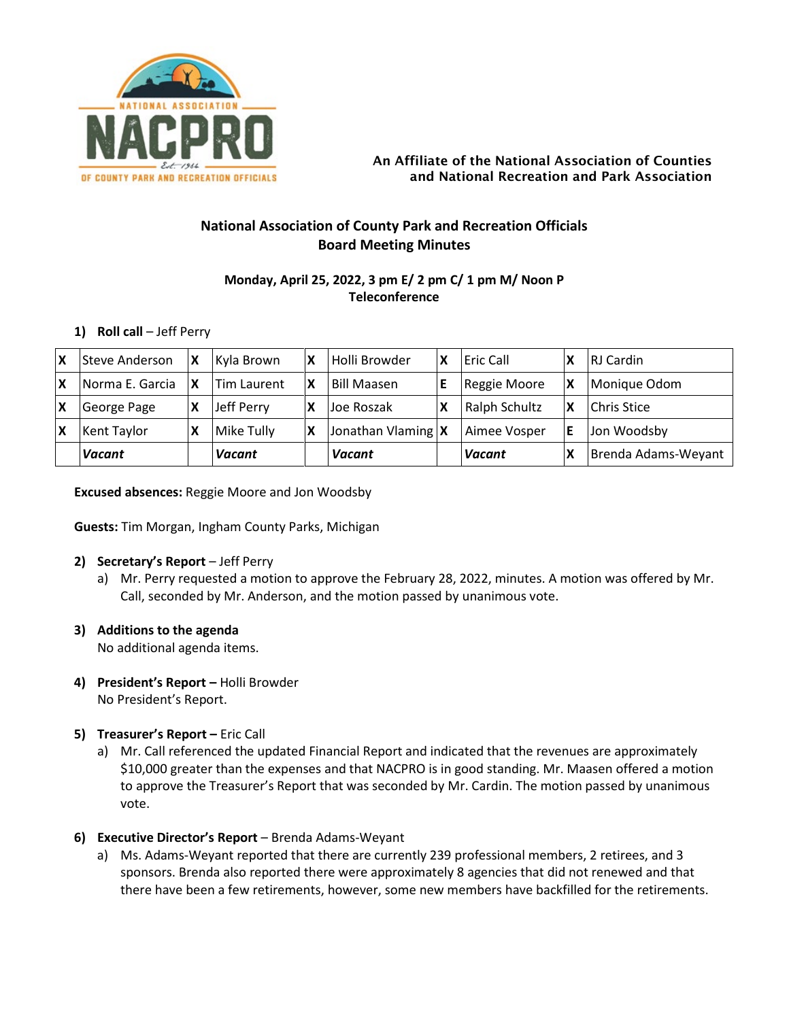

### An Affiliate of the National Association of Counties and National Recreation and Park Association

# **National Association of County Park and Recreation Officials Board Meeting Minutes**

# **Monday, April 25, 2022, 3 pm E/ 2 pm C/ 1 pm M/ Noon P Teleconference**

# **1) Roll call** – Jeff Perry

| $\boldsymbol{\mathsf{x}}$ | Steve Anderson  | IΧ | Kyla Brown    | ΙX | Holli Browder        | l Eric Call   | RJ Cardin           |
|---------------------------|-----------------|----|---------------|----|----------------------|---------------|---------------------|
|                           | Norma E. Garcia | ΙX | Tim Laurent   | X  | <b>Bill Maasen</b>   | Reggie Moore  | Monique Odom        |
| X                         | George Page     |    | Jeff Perry    | χ  | Joe Roszak           | Ralph Schultz | Chris Stice         |
|                           | Kent Taylor     |    | Mike Tully    | X  | Jonathan Vlaming   X | Aimee Vosper  | Jon Woodsby         |
|                           | <b>Vacant</b>   |    | <b>Vacant</b> |    | Vacant               | <b>Vacant</b> | Brenda Adams-Weyant |

**Excused absences:** Reggie Moore and Jon Woodsby

**Guests:** Tim Morgan, Ingham County Parks, Michigan

# **2) Secretary's Report** – Jeff Perry

a) Mr. Perry requested a motion to approve the February 28, 2022, minutes. A motion was offered by Mr. Call, seconded by Mr. Anderson, and the motion passed by unanimous vote.

### **3) Additions to the agenda**

No additional agenda items.

**4) President's Report –** Holli Browder No President's Report.

# **5) Treasurer's Report –** Eric Call

a) Mr. Call referenced the updated Financial Report and indicated that the revenues are approximately \$10,000 greater than the expenses and that NACPRO is in good standing. Mr. Maasen offered a motion to approve the Treasurer's Report that was seconded by Mr. Cardin. The motion passed by unanimous vote.

# **6) Executive Director's Report** – Brenda Adams-Weyant

a) Ms. Adams-Weyant reported that there are currently 239 professional members, 2 retirees, and 3 sponsors. Brenda also reported there were approximately 8 agencies that did not renewed and that there have been a few retirements, however, some new members have backfilled for the retirements.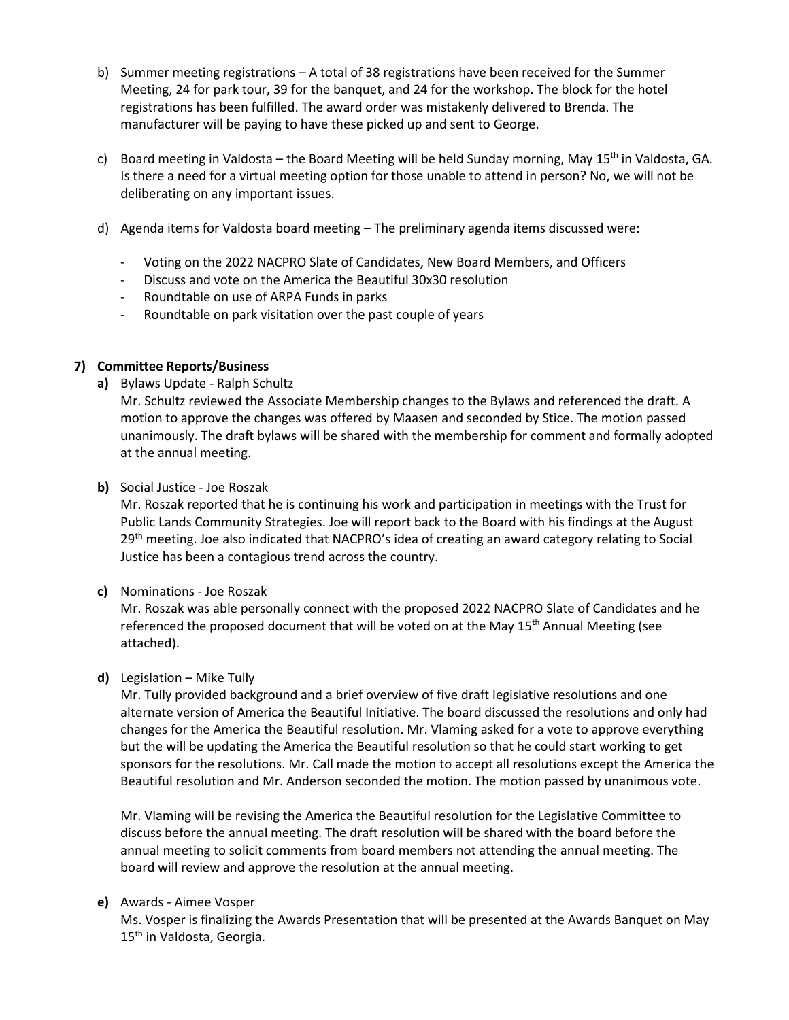- b) Summer meeting registrations A total of 38 registrations have been received for the Summer Meeting, 24 for park tour, 39 for the banquet, and 24 for the workshop. The block for the hotel registrations has been fulfilled. The award order was mistakenly delivered to Brenda. The manufacturer will be paying to have these picked up and sent to George.
- c) Board meeting in Valdosta the Board Meeting will be held Sunday morning, May 15<sup>th</sup> in Valdosta, GA. Is there a need for a virtual meeting option for those unable to attend in person? No, we will not be deliberating on any important issues.
- d) Agenda items for Valdosta board meeting The preliminary agenda items discussed were:
	- Voting on the 2022 NACPRO Slate of Candidates, New Board Members, and Officers
	- Discuss and vote on the America the Beautiful 30x30 resolution
	- Roundtable on use of ARPA Funds in parks
	- Roundtable on park visitation over the past couple of years

# **7) Committee Reports/Business**

**a)** Bylaws Update - Ralph Schultz

Mr. Schultz reviewed the Associate Membership changes to the Bylaws and referenced the draft. A motion to approve the changes was offered by Maasen and seconded by Stice. The motion passed unanimously. The draft bylaws will be shared with the membership for comment and formally adopted at the annual meeting.

# **b)** Social Justice - Joe Roszak

Mr. Roszak reported that he is continuing his work and participation in meetings with the Trust for Public Lands Community Strategies. Joe will report back to the Board with his findings at the August 29<sup>th</sup> meeting. Joe also indicated that NACPRO's idea of creating an award category relating to Social Justice has been a contagious trend across the country.

### **c)** Nominations - Joe Roszak

Mr. Roszak was able personally connect with the proposed 2022 NACPRO Slate of Candidates and he referenced the proposed document that will be voted on at the May 15<sup>th</sup> Annual Meeting (see attached).

### **d)** Legislation – Mike Tully

Mr. Tully provided background and a brief overview of five draft legislative resolutions and one alternate version of America the Beautiful Initiative. The board discussed the resolutions and only had changes for the America the Beautiful resolution. Mr. Vlaming asked for a vote to approve everything but the will be updating the America the Beautiful resolution so that he could start working to get sponsors for the resolutions. Mr. Call made the motion to accept all resolutions except the America the Beautiful resolution and Mr. Anderson seconded the motion. The motion passed by unanimous vote.

Mr. Vlaming will be revising the America the Beautiful resolution for the Legislative Committee to discuss before the annual meeting. The draft resolution will be shared with the board before the annual meeting to solicit comments from board members not attending the annual meeting. The board will review and approve the resolution at the annual meeting.

### **e)** Awards - Aimee Vosper

Ms. Vosper is finalizing the Awards Presentation that will be presented at the Awards Banquet on May 15<sup>th</sup> in Valdosta, Georgia.